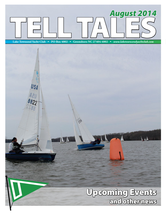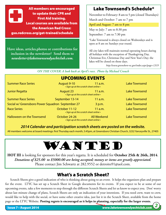All members are encouraged to update their CPR and First Aid training. Local courses are available from the American Red Cross: gso.redcross.org/get-trained/schedule

**Have ideas, articles,photos or contributions for inclusion in the newsletter? Send them to** *newsletter@laketownsendyachtclub.com.*

#### Lake Townsend's Schedule\*

November to February: 8 am to 5 pm (closed Thursdays)

March and October: 7 am to 7 pm

April and August: 7 am to 8 pm

May to July: 7 am to 8:30 pm

September: 7 am to 7:30 pm

\*Lake Townsend is always closed on Wednesdays and is open at 8 am on Sundays year round.

All city lakes will maintain normal operating hours during all holidays with the exception of Thanksgiving Day, Christmas Eve, Christmas Day and New Year's Day; the lakes will be closed on those days.

*http://www.greensboro-nc.gov/index.aspx?page=1319*

*ON THE COVER: A look back at April's race. Photo by Michael Crouch*

| <b>UPCOMING EVENTS</b> |  |  |  |  |  |  |
|------------------------|--|--|--|--|--|--|
|------------------------|--|--|--|--|--|--|

| <b>Summer Race Series</b>                        | August 9-10<br>• Sign up at the scratch sheet online •      | $11$ a.m.          | <b>Lake Townsend</b> |
|--------------------------------------------------|-------------------------------------------------------------|--------------------|----------------------|
| Junior Regatta                                   | <b>August 23</b><br>• Sign up at the scratch sheet online • | $11$ a.m.          | <b>Lake Townsend</b> |
| <b>Summer Race Series</b>                        | September 13-14                                             | $11$ a.m.          | <b>Lake Townsend</b> |
| Social w/ Greensboro Power Squadron September 27 |                                                             | 3 p.m.             | <b>Lake Townsend</b> |
| <b>Race Series</b>                               | October 11-12<br>• Sign up at the scratch sheet online •    | $11$ a.m.          | <b>Lake Townsend</b> |
| <b>Halloween on the Townsend</b>                 | October 24-26<br>• Sign up at the scratch sheet online •    | <b>All Weekend</b> | <b>Lake Townsend</b> |

*2014 Calendar and participation scratch sheets are posted on the website.*

All members welcome at board meetings: first Thursday each month, 5:45pm, at Greensboro Christian Church, 3232 Yanceyville St., 27405

## WANTED

**HOT III** is looking for sponsors for this year's regatta. It is scheduled for **October 25th & 26th, 2014**. *Donations of \$25.00 to \$5000.00 are being accepted; money or items are greatly appreciated.*  Please contact Jim Schwartz at 282.9552 or detroito91@aol.com.

## What's a Scratch Sheet?

Scratch Sheets give a good indication of who is thinking about going to an event. It helps the organizers plan and prepare for the event. LTYC has set up a Scratch Sheet in Google documents for its events. If you expect to be at some of our upcoming events, take a few moments to step through the different Scratch Sheets and let us know to expect you. Don' worry about last minute change of plans, Scratch Sheets are only an indication of your intentions. If you need crew, want to crew, would like to help with the social, or have some other creative idea, just list it in the Scratch Sheet, available from the home page or the LTYC Website. **Posting regrets is encouraged as it helps in planning, especially for the larger events.**

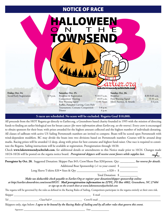# NOTICE OF RACE NOTICE OF RACE

ON THE

TOWNSEND

| Friday, Oct. 24: |  |
|------------------|--|
|                  |  |

Social/Early Registration 6-9 p.m.

**Saturday, Oct. 25:**  Breakfast & Registration 9-10:15 a.m. Competitors' Meeting 10:35 a.m. First Warning Signal 12:00 Noon Raffles, Pumpkin Carving, Corn Hole Tournament, Costume Competition 5-8 p.m. Dinner 6 p.m. laketownsendyachtclub.com

**Sunday, Oct. 26:**  Breakfast 8:30-9:45 a.m. First Warning Signal 10:30 a.m. Silent Auction, & Awards 3-4 p.m.

Z.OZG

#### **5 races are scheduled. No score will be excluded. Regatta Goal \$10,000.**

All proceeds from the HOT Regatta go directly to Earlier.org, a Greensboro based charity founded in 1995 with the mission of directing funds to finding an earlier biological test for breast cancer *(for more information about Earlier.org, see the reverse)*. Every crew is encouraged to obtain sponsors for their boat; with prizes awarded for the highest amount collected and the highest number of individuals donating. All classes of sailboats with active US Sailing Portsmouth numbers are invited to compete. Boats will be scored open Portsmouth with wind-dependent modifiers. RC may divide the boats into two divisions based on Portsmouth number. Courses will be around drop marks. Racing prizes will be awarded 12 deep, along with prizes for best costume and highest fund-raiser. One race is required to constitute the Regatta. Sailing instructions will be available at registration. Preregistration through 10/20.

Check **www.laketownsendyachtclub.com**, for additional details or amendments to this Notice made prior to 10/24. Changes made 10/24-10/26 will be posted on the regatta notice board. *Preregistered skippers will receive event favors while supplies last.* **Preregister by Oct. 20.** Suggested Donation: Skipper Pass \$45; Crew/Shore Pass \$20/person. Qty: \_\_\_\_\_\_\_\_\_\_ *See reverse for details.*  $\rightarrow$ 

Additional Boat Sponsorship (+1 to your count)  $\$ 

Long Sleeve T-shirts \$20 • Sizes & Qty \_\_\_\_\_\_\_\_\_\_\_\_\_\_\_\_\_\_\_\_ x \$20 = \$ \_\_\_\_\_\_\_\_\_\_\_\_

Total Donation: \$ \_\_\_\_\_\_\_\_\_\_\_\_

*Make tax deductible check payable to Earlier.Org or register your donation/skipper sponsorship online* 

*at http://earlier.donordrive.com/event/HOT/. Mail preregistration information to: LTYC, PO Box 4002, Greensboro, NC 27404 or sign up on the scratch sheet at www.laketownsendyachtclub.com* 

The regatta will be governed by the rules as defined in the Racing Rules of Sailing. Competitors participate in the regatta entirely at their own risk.

Skipper \_\_\_\_\_\_\_\_\_\_\_\_\_\_\_\_\_\_\_\_\_\_\_\_\_\_\_\_\_\_\_\_\_\_\_\_\_\_\_\_\_\_\_\_\_\_\_\_\_\_\_\_\_\_\_\_\_ E-mail \_\_\_\_\_\_\_\_\_\_\_\_\_\_\_\_\_\_\_\_\_\_\_\_\_\_\_\_\_\_\_\_\_\_\_\_\_\_\_\_\_\_\_\_

Tel \_\_\_\_\_\_\_\_\_\_\_\_\_\_\_\_\_\_\_\_\_\_ Class/Sail # \_\_\_\_\_\_\_\_\_\_\_\_\_\_\_\_\_\_\_\_\_\_ Crew/E-mail \_\_\_\_\_\_\_\_\_\_\_\_\_\_\_\_\_\_\_\_\_\_\_\_\_\_\_\_\_\_\_\_\_\_\_\_\_\_\_\_\_\_\_\_\_\_

Skippers only, sign below: *I agree to be bound by the Racing Rules of Sailing and by all other rules that govern this event.*<br>References

Signature: \_\_\_\_\_\_\_\_\_\_\_\_\_\_\_\_\_\_\_\_\_\_\_\_\_\_\_\_\_\_\_\_\_\_\_\_\_\_\_\_\_ Date \_\_\_\_\_\_\_\_\_\_\_\_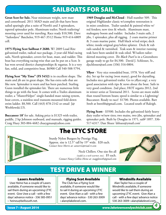## SAILBOATS FOR SAIL

**Great Scot for Sale.** Near minimum weight, new mast and centerboard. 2011 MAD main and jib that have been sailed sparingly plus a suite of North's and 3 spinnakers, tapered spinnaker pole. Aluminum trailer; North trailering/ mooring cover used for traveling. Race ready \$10,500. Dave "Sailordave" Batchelor, 919-467-3512 Home 919-414-6809 cell.

**1975 Flying Scot Sailboat # 2680.** W/ 2009 Load Rite galvanized trailer, radical race package, 2-year-old Mad racing sails, North spinnaker, covers for boat, mast, and rudder. This boat has everything racing-wise that can be put on a Scot. It has won several district championships & regattas. It is a very fast, solid, and competitive boat. \$6900 Call 540-588-5794.

**Flying Scot "My Time" (FS 5452)** is in excellent shape. The main and jib are in great shape. She has extra sails that are like new. Spinnaker is warn and has been patched. Starling Gunn installed the spinnaker kit. There are numerous little things to go with the boat. It comes with a Trailex aluminum trailer, a "MasterHelper" single-handed mast raising system, boat covers, a stainless steel transom-mounted fold-down swim ladder. \$8,500. Call (443) 878-2142 or email J@ Wroblewski.US.

**Buccaneer 18'** for sale. Asking price is \$1325 with trailer, paddle, 2 hp Johnson outboard, and manuals, rigging guides. Craig Huey 303-884-4682 chueygman@yahoo.com

**1969 Douglas and McCloud** - Hull number 509. This original Highlander classic w/complete restoration is in mint condition. Trailer sanded & painted white w/ red fenders; new tires & wheels. Aluminum mast, mahogany boom and rudder. Includes 3 main sails, 2 jibs, 1 spinnaker, plus all rigging. 2 coats marine primer & 3 coats marine paint. Hull black w/red stripe; deck white; inside original gray/white splatter. Deck & rub rails sanded & varnished. Teak seats & interior running teak have been sanded & teak oiled. W/sailors tailorskirted mooring cover. *The Black Pearl* is in a Greensboro garage ready to go for \$4,500. David J. Schlosser, Sr., djschlosser@aol.com (336) 316-0804.

**Yflyer** - Very nice remodeled boat, 1978. Very stiff and dry. Set up for racing (won many), good for daysailing. Includes nice galvanized trailer. Go to yflyer.org/, a very good association with tips & news about the boat. Sails in very good condition. 2nd place, HOT regatta 2012, 2nd in winter series at Townsend 2011. Scows are more stable than round bottom boats; speed is similar to a Lightning/ Buccaneer. Ready to race! \$1700. Photos available. Bart Streb at bstrebb@gmail.com. Located south of Raleigh.

**Flying Scott** - \$3500. Includes the galvanized fairly heavy duty trailer w/new tires; two mains, two jibs, spinnaker and spinnaker pole. Built by Douglas in 1971, sail# 1897. 336-517-6317. Dan Shuee 'dshuee@ymail.com'



## The LTYC STORE

Sturdy Nylon Burgees by Prestige Flag. Approx. size is 12.5" tall by 19" wide. \$20 each. *Contact Steve Morris at: samorris@triad.rr.com*

> Neck Chillers. One size fits all *(useful as a neck warmer, too)*. \$5 each. *Contact Nancy Collins-Heine at: snaggleteeth@gmail.com*



## TEST DRIVE A WINNER

#### Lasers Available

 Uwe Heine has a couple of Lasers available, if someone would like to sail them during an upcoming LTYC event. Give Uwe a call - with a few days' advance notice - 336 585-0951 • heineu@bellsouth.net.

#### Flying Scot Available

 The Club has a Flying Scot available, if someone would like to sail it during an upcoming LTYC event. Give Alan a call - with a few days' advance notice - 530 263-3009 • alan@lakelevel.com.

#### Windmills Available

 Alan Taylor has a couple of Windmills available, if someone would like to sail them during an upcoming LTYC event. Give Alan a call - with a few days' advance notice 530 263-3009 • alan@lakelevel.com.

*4*